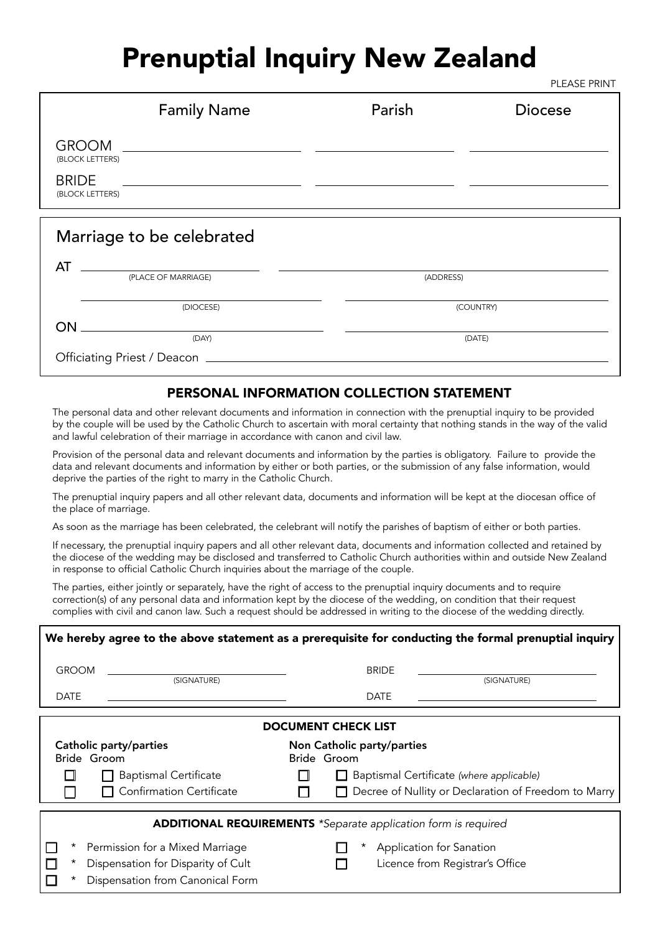## Prenuptial Inquiry New Zealand

PLEASE PRINT

| <b>Family Name</b>                                                                                                                                                                                                                                                                                                                                                                                                                                                                                     | Parish    | <b>Diocese</b> |
|--------------------------------------------------------------------------------------------------------------------------------------------------------------------------------------------------------------------------------------------------------------------------------------------------------------------------------------------------------------------------------------------------------------------------------------------------------------------------------------------------------|-----------|----------------|
| $\begin{tabular}{c} GROOM \begin{tabular}{c} \multicolumn{2}{c}{} \multicolumn{2}{c}{} \multicolumn{2}{c}{} \multicolumn{2}{c}{} \multicolumn{2}{c}{} \multicolumn{2}{c}{} \multicolumn{2}{c}{} \multicolumn{2}{c}{} \multicolumn{2}{c}{} \multicolumn{2}{c}{} \multicolumn{2}{c}{} \multicolumn{2}{c}{} \multicolumn{2}{c}{} \multicolumn{2}{c}{} \multicolumn{2}{c}{} \multicolumn{2}{c}{} \multicolumn{2}{c}{} \multicolumn{2}{c}{} \multicolumn{2}{c}{} \multicolumn{2}{c}{} \$<br>(BLOCK LETTERS) |           |                |
| <b>BRIDE</b><br>(BLOCK LETTERS)                                                                                                                                                                                                                                                                                                                                                                                                                                                                        |           |                |
| Marriage to be celebrated                                                                                                                                                                                                                                                                                                                                                                                                                                                                              |           |                |
| AT<br>(PLACE OF MARRIAGE)                                                                                                                                                                                                                                                                                                                                                                                                                                                                              | (ADDRESS) |                |
| (DIOCESE)                                                                                                                                                                                                                                                                                                                                                                                                                                                                                              |           | (COUNTRY)      |
| <b>ON</b><br>(DAY)                                                                                                                                                                                                                                                                                                                                                                                                                                                                                     |           | (DATE)         |
|                                                                                                                                                                                                                                                                                                                                                                                                                                                                                                        |           |                |

## PERSONAL INFORMATION COLLECTION STATEMENT

The personal data and other relevant documents and information in connection with the prenuptial inquiry to be provided by the couple will be used by the Catholic Church to ascertain with moral certainty that nothing stands in the way of the valid and lawful celebration of their marriage in accordance with canon and civil law.

Provision of the personal data and relevant documents and information by the parties is obligatory. Failure to provide the data and relevant documents and information by either or both parties, or the submission of any false information, would deprive the parties of the right to marry in the Catholic Church.

The prenuptial inquiry papers and all other relevant data, documents and information will be kept at the diocesan office of the place of marriage.

As soon as the marriage has been celebrated, the celebrant will notify the parishes of baptism of either or both parties.

If necessary, the prenuptial inquiry papers and all other relevant data, documents and information collected and retained by the diocese of the wedding may be disclosed and transferred to Catholic Church authorities within and outside New Zealand in response to official Catholic Church inquiries about the marriage of the couple.

The parties, either jointly or separately, have the right of access to the prenuptial inquiry documents and to require correction(s) of any personal data and information kept by the diocese of the wedding, on condition that their request complies with civil and canon law. Such a request should be addressed in writing to the diocese of the wedding directly.

| We hereby agree to the above statement as a prerequisite for conducting the formal prenuptial inquiry |                                                                                                                                                |                                          |                                     |                                 |  |
|-------------------------------------------------------------------------------------------------------|------------------------------------------------------------------------------------------------------------------------------------------------|------------------------------------------|-------------------------------------|---------------------------------|--|
| <b>GROOM</b>                                                                                          | (SIGNATURE)                                                                                                                                    | <b>BRIDE</b>                             |                                     | (SIGNATURE)                     |  |
| <b>DATE</b>                                                                                           |                                                                                                                                                |                                          | <b>DATE</b>                         |                                 |  |
| <b>DOCUMENT CHECK LIST</b>                                                                            |                                                                                                                                                |                                          |                                     |                                 |  |
| Catholic party/parties<br>Non Catholic party/parties<br>Bride Groom<br>Bride Groom                    |                                                                                                                                                |                                          |                                     |                                 |  |
|                                                                                                       | <b>Baptismal Certificate</b>                                                                                                                   | Baptismal Certificate (where applicable) |                                     |                                 |  |
|                                                                                                       | <b>Confirmation Certificate</b><br>Decree of Nullity or Declaration of Freedom to Marry                                                        |                                          |                                     |                                 |  |
| *<br>$^\star$                                                                                         | <b>ADDITIONAL REQUIREMENTS</b> *Separate application form is required<br>Permission for a Mixed Marriage<br>Dispensation for Disparity of Cult |                                          | Application for Sanation<br>$\star$ | Licence from Registrar's Office |  |
| *                                                                                                     | Dispensation from Canonical Form                                                                                                               |                                          |                                     |                                 |  |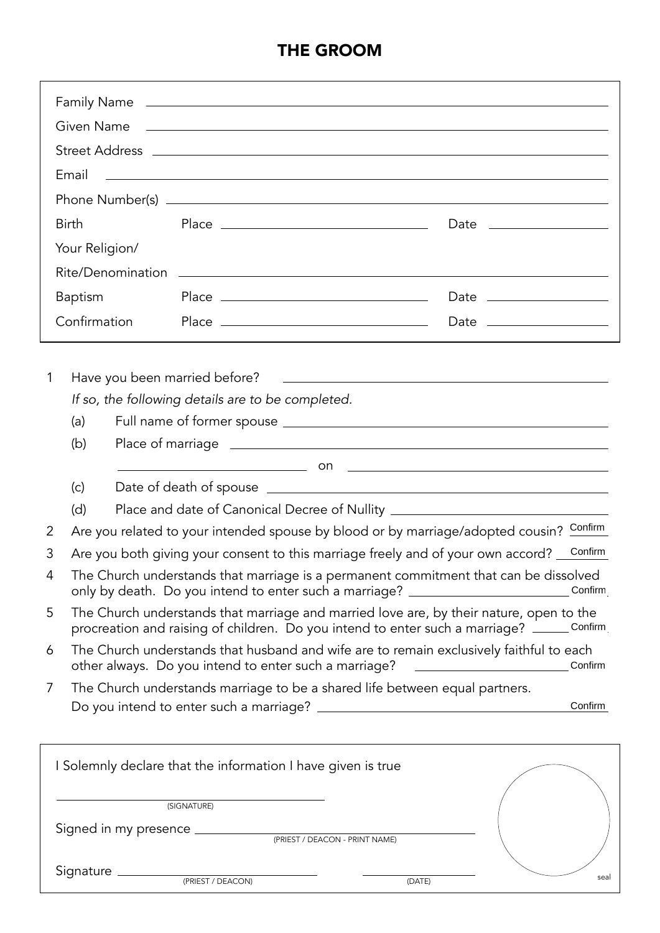## THE GROOM

|   | Email<br><u> 1989 - Johann Stoff, deutscher Stoffen und der Stoffen und der Stoffen und der Stoffen und der Stoffen und der Stoffen und der Stoffen und der Stoffen und der Stoffen und der Stoffen und der Stoffen und der Stoffen und d</u> |  |                                                              |                                                                                                                                                                                                                                                                                      |         |
|---|-----------------------------------------------------------------------------------------------------------------------------------------------------------------------------------------------------------------------------------------------|--|--------------------------------------------------------------|--------------------------------------------------------------------------------------------------------------------------------------------------------------------------------------------------------------------------------------------------------------------------------------|---------|
|   |                                                                                                                                                                                                                                               |  |                                                              |                                                                                                                                                                                                                                                                                      |         |
|   | <b>Birth</b>                                                                                                                                                                                                                                  |  |                                                              |                                                                                                                                                                                                                                                                                      |         |
|   | Your Religion/                                                                                                                                                                                                                                |  |                                                              |                                                                                                                                                                                                                                                                                      |         |
|   |                                                                                                                                                                                                                                               |  |                                                              |                                                                                                                                                                                                                                                                                      |         |
|   | <b>Baptism</b>                                                                                                                                                                                                                                |  |                                                              |                                                                                                                                                                                                                                                                                      |         |
|   | Confirmation                                                                                                                                                                                                                                  |  |                                                              |                                                                                                                                                                                                                                                                                      |         |
|   |                                                                                                                                                                                                                                               |  |                                                              |                                                                                                                                                                                                                                                                                      |         |
|   |                                                                                                                                                                                                                                               |  |                                                              |                                                                                                                                                                                                                                                                                      |         |
| 1 |                                                                                                                                                                                                                                               |  |                                                              |                                                                                                                                                                                                                                                                                      |         |
|   |                                                                                                                                                                                                                                               |  | If so, the following details are to be completed.            |                                                                                                                                                                                                                                                                                      |         |
|   | (a)                                                                                                                                                                                                                                           |  |                                                              |                                                                                                                                                                                                                                                                                      |         |
|   | (b)                                                                                                                                                                                                                                           |  |                                                              |                                                                                                                                                                                                                                                                                      |         |
|   | (c)                                                                                                                                                                                                                                           |  |                                                              | $\sim$ 00 $\sim$ 00 $\sim$ 00 $\sim$ 00 $\sim$ 00 $\sim$ 00 $\sim$ 00 $\sim$ 00 $\sim$ 00 $\sim$ 00 $\sim$ 00 $\sim$ 00 $\sim$ 00 $\sim$ 00 $\sim$ 00 $\sim$ 00 $\sim$ 00 $\sim$ 00 $\sim$ 00 $\sim$ 00 $\sim$ 00 $\sim$ 00 $\sim$ 00 $\sim$ 00 $\sim$ 00 $\sim$ 00 $\sim$ 00 $\sim$ |         |
|   | (d)                                                                                                                                                                                                                                           |  |                                                              |                                                                                                                                                                                                                                                                                      |         |
| 2 | Place and date of Canonical Decree of Nullity __________________________________<br>Are you related to your intended spouse by blood or by marriage/adopted cousin? Confirm                                                                   |  |                                                              |                                                                                                                                                                                                                                                                                      |         |
| 3 | Are you both giving your consent to this marriage freely and of your own accord? Confirm                                                                                                                                                      |  |                                                              |                                                                                                                                                                                                                                                                                      |         |
| 4 | The Church understands that marriage is a permanent commitment that can be dissolved<br>only by death. Do you intend to enter such a marriage? __________________________Confirm                                                              |  |                                                              |                                                                                                                                                                                                                                                                                      |         |
| 5 | The Church understands that marriage and married love are, by their nature, open to the<br>procreation and raising of children. Do you intend to enter such a marriage? ______Confirm                                                         |  |                                                              |                                                                                                                                                                                                                                                                                      |         |
| 6 |                                                                                                                                                                                                                                               |  | other always. Do you intend to enter such a marriage?        | The Church understands that husband and wife are to remain exclusively faithful to each<br><u> 1980 - Johann Barnett, fransk politik (d. 1980)</u>                                                                                                                                   | Confirm |
| 7 |                                                                                                                                                                                                                                               |  |                                                              | The Church understands marriage to be a shared life between equal partners.                                                                                                                                                                                                          |         |
|   |                                                                                                                                                                                                                                               |  |                                                              |                                                                                                                                                                                                                                                                                      | Confirm |
|   |                                                                                                                                                                                                                                               |  |                                                              |                                                                                                                                                                                                                                                                                      |         |
|   |                                                                                                                                                                                                                                               |  | I Solemnly declare that the information I have given is true |                                                                                                                                                                                                                                                                                      |         |
|   | (SIGNATURE)                                                                                                                                                                                                                                   |  |                                                              |                                                                                                                                                                                                                                                                                      |         |
|   |                                                                                                                                                                                                                                               |  |                                                              |                                                                                                                                                                                                                                                                                      |         |
|   |                                                                                                                                                                                                                                               |  |                                                              |                                                                                                                                                                                                                                                                                      |         |
|   |                                                                                                                                                                                                                                               |  | Signature <u>examples and pressed process</u>                | IDATE                                                                                                                                                                                                                                                                                | seal    |

(PRIEST / DEACON)

(DATE)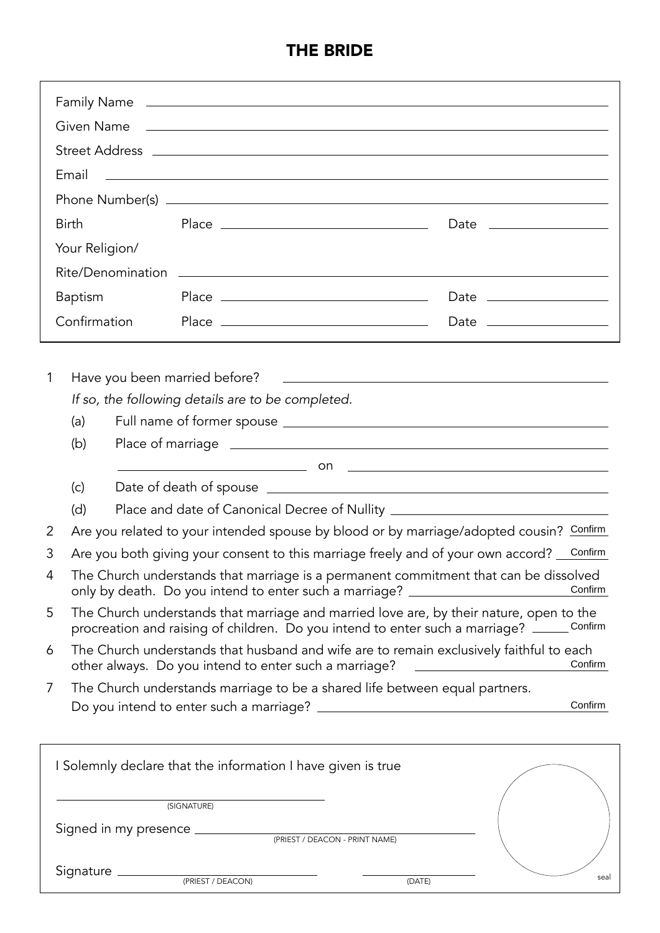## THE BRIDE

|                                                                                                                                                                                            | Email                                                                                                                                                                                                                                                                           |                           |                                                                                    | Family Name <u>and the community of the contract of the contract of the contract of the contract of the contract of</u><br><u> 1999 - Johann Harry Harry Harry Harry Harry Harry Harry Harry Harry Harry Harry Harry Harry Harry Harry Harry H</u> |         |
|--------------------------------------------------------------------------------------------------------------------------------------------------------------------------------------------|---------------------------------------------------------------------------------------------------------------------------------------------------------------------------------------------------------------------------------------------------------------------------------|---------------------------|------------------------------------------------------------------------------------|----------------------------------------------------------------------------------------------------------------------------------------------------------------------------------------------------------------------------------------------------|---------|
|                                                                                                                                                                                            | <b>Birth</b><br>Date __________________<br>Your Religion/                                                                                                                                                                                                                       |                           |                                                                                    |                                                                                                                                                                                                                                                    |         |
|                                                                                                                                                                                            |                                                                                                                                                                                                                                                                                 |                           |                                                                                    |                                                                                                                                                                                                                                                    |         |
| <b>Baptism</b>                                                                                                                                                                             |                                                                                                                                                                                                                                                                                 | Date ____________________ |                                                                                    |                                                                                                                                                                                                                                                    |         |
|                                                                                                                                                                                            | Confirmation                                                                                                                                                                                                                                                                    |                           |                                                                                    |                                                                                                                                                                                                                                                    |         |
| 1<br>2                                                                                                                                                                                     | (a)<br>(b)<br>(c)<br>(d)                                                                                                                                                                                                                                                        |                           | Have you been married before?<br>If so, the following details are to be completed. | <u> 1989 - Andrea Station, amerikansk politik (* 1958)</u><br>Place and date of Canonical Decree of Nullity __________________________________<br>Are you related to your intended spouse by blood or by marriage/adopted cousin? Confirm          |         |
| 3<br>4                                                                                                                                                                                     | Are you both giving your consent to this marriage freely and of your own accord? Confirm<br>The Church understands that marriage is a permanent commitment that can be dissolved<br>Confirm<br>only by death. Do you intend to enter such a marriage? _________________________ |                           |                                                                                    |                                                                                                                                                                                                                                                    |         |
| The Church understands that marriage and married love are, by their nature, open to the<br>5<br>Confirm<br>procreation and raising of children. Do you intend to enter such a marriage? __ |                                                                                                                                                                                                                                                                                 |                           |                                                                                    |                                                                                                                                                                                                                                                    |         |
| 6                                                                                                                                                                                          |                                                                                                                                                                                                                                                                                 |                           | other always. Do you intend to enter such a marriage?                              | The Church understands that husband and wife are to remain exclusively faithful to each                                                                                                                                                            | Confirm |
| 7                                                                                                                                                                                          |                                                                                                                                                                                                                                                                                 |                           |                                                                                    | The Church understands marriage to be a shared life between equal partners.                                                                                                                                                                        | Confirm |
|                                                                                                                                                                                            |                                                                                                                                                                                                                                                                                 |                           | I Solemnly declare that the information I have given is true                       |                                                                                                                                                                                                                                                    |         |
|                                                                                                                                                                                            | (SIGNATURE)                                                                                                                                                                                                                                                                     |                           |                                                                                    |                                                                                                                                                                                                                                                    |         |
|                                                                                                                                                                                            |                                                                                                                                                                                                                                                                                 |                           |                                                                                    |                                                                                                                                                                                                                                                    |         |
|                                                                                                                                                                                            |                                                                                                                                                                                                                                                                                 |                           |                                                                                    | $\sqrt{D}ATEN$                                                                                                                                                                                                                                     | seal    |

(PRIEST / DEACON)

(DATE)